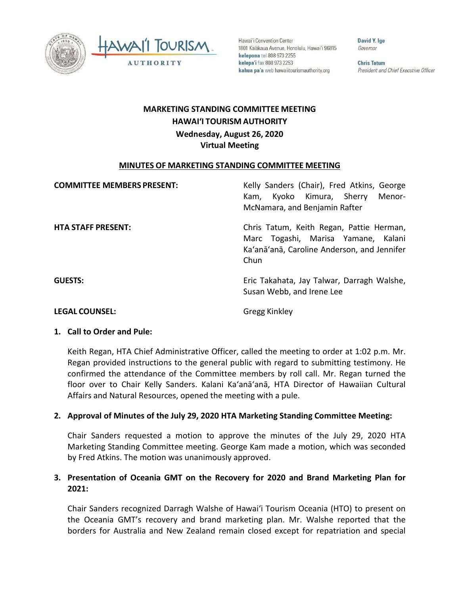



Hawai'i Convention Center 1801 Kalākaua Avenue, Honolulu, Hawai'i 96815 kelepona tel 808 973 2255 kelepa'i fax 808 973 2253 kahua pa'a web hawaiitourismauthority.org

David Y. Ige Governor

**Chris Tatum** President and Chief Executive Officer

# **HAWAI'I TOURISM AUTHORITY MARKETING STANDING COMMITTEE MEETING**

 **Wednesday, August 26, 2020 Virtual Meeting** 

#### **MINUTES OF MARKETING STANDING COMMITTEE MEETING**

| <b>COMMITTEE MEMBERS PRESENT:</b> | Kelly Sanders (Chair), Fred Atkins, George<br>Kam, Kyoko Kimura, Sherry<br>Menor-<br>McNamara, and Benjamin Rafter                     |
|-----------------------------------|----------------------------------------------------------------------------------------------------------------------------------------|
| <b>HTA STAFF PRESENT:</b>         | Chris Tatum, Keith Regan, Pattie Herman,<br>Marc Togashi, Marisa Yamane, Kalani<br>Ka'anā'anā, Caroline Anderson, and Jennifer<br>Chun |
| <b>GUESTS:</b>                    | Eric Takahata, Jay Talwar, Darragh Walshe,<br>Susan Webb, and Irene Lee                                                                |
| LFGAL COUNSEL:                    | Gregg Kinkley                                                                                                                          |

**Gregg Kinkley** 

#### **1. Call to Order and Pule:**

 Regan provided instructions to the general public with regard to submitting testimony. He Keith Regan, HTA Chief Administrative Officer, called the meeting to order at 1:02 p.m. Mr. confirmed the attendance of the Committee members by roll call. Mr. Regan turned the floor over to Chair Kelly Sanders. Kalani Ka'anā'anā, HTA Director of Hawaiian Cultural Affairs and Natural Resources, opened the meeting with a pule.

## **2. Approval of Minutes of the July 29, 2020 HTA Marketing Standing Committee Meeting:**

Chair Sanders requested a motion to approve the minutes of the July 29, 2020 HTA Marketing Standing Committee meeting. George Kam made a motion, which was seconded by Fred Atkins. The motion was unanimously approved.

## **3. Presentation of Oceania GMT on the Recovery for 2020 and Brand Marketing Plan for 2021:**

 Chair Sanders recognized Darragh Walshe of Hawai'i Tourism Oceania (HTO) to present on the Oceania GMT's recovery and brand marketing plan. Mr. Walshe reported that the borders for Australia and New Zealand remain closed except for repatriation and special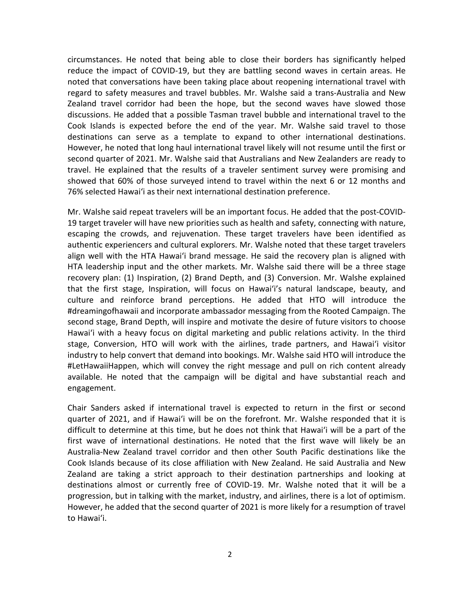Cook Islands is expected before the end of the year. Mr. Walshe said travel to those However, he noted that long haul international travel likely will not resume until the first or 76% selected Hawai'i as their next international destination preference. circumstances. He noted that being able to close their borders has significantly helped reduce the impact of COVID-19, but they are battling second waves in certain areas. He noted that conversations have been taking place about reopening international travel with regard to safety measures and travel bubbles. Mr. Walshe said a trans-Australia and New Zealand travel corridor had been the hope, but the second waves have slowed those discussions. He added that a possible Tasman travel bubble and international travel to the destinations can serve as a template to expand to other international destinations. second quarter of 2021. Mr. Walshe said that Australians and New Zealanders are ready to travel. He explained that the results of a traveler sentiment survey were promising and showed that 60% of those surveyed intend to travel within the next 6 or 12 months and

 Mr. Walshe said repeat travelers will be an important focus. He added that the post-COVID- escaping the crowds, and rejuvenation. These target travelers have been identified as align well with the HTA Hawai'i brand message. He said the recovery plan is aligned with Hawai'i with a heavy focus on digital marketing and public relations activity. In the third #LetHawaiiHappen, which will convey the right message and pull on rich content already 19 target traveler will have new priorities such as health and safety, connecting with nature, authentic experiencers and cultural explorers. Mr. Walshe noted that these target travelers HTA leadership input and the other markets. Mr. Walshe said there will be a three stage recovery plan: (1) Inspiration, (2) Brand Depth, and (3) Conversion. Mr. Walshe explained that the first stage, Inspiration, will focus on Hawai'i's natural landscape, beauty, and culture and reinforce brand perceptions. He added that HTO will introduce the #dreamingofhawaii and incorporate ambassador messaging from the Rooted Campaign. The second stage, Brand Depth, will inspire and motivate the desire of future visitors to choose stage, Conversion, HTO will work with the airlines, trade partners, and Hawai'i visitor industry to help convert that demand into bookings. Mr. Walshe said HTO will introduce the available. He noted that the campaign will be digital and have substantial reach and engagement.

 Chair Sanders asked if international travel is expected to return in the first or second quarter of 2021, and if Hawai'i will be on the forefront. Mr. Walshe responded that it is first wave of international destinations. He noted that the first wave will likely be an Cook Islands because of its close affiliation with New Zealand. He said Australia and New progression, but in talking with the market, industry, and airlines, there is a lot of optimism. to Hawai'i. difficult to determine at this time, but he does not think that Hawai'i will be a part of the Australia-New Zealand travel corridor and then other South Pacific destinations like the Zealand are taking a strict approach to their destination partnerships and looking at destinations almost or currently free of COVID-19. Mr. Walshe noted that it will be a However, he added that the second quarter of 2021 is more likely for a resumption of travel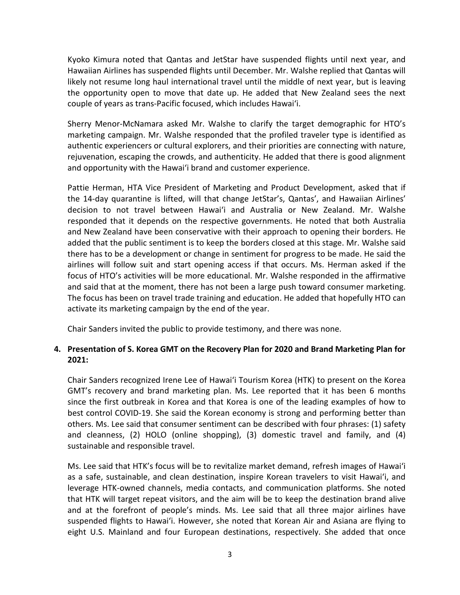likely not resume long haul international travel until the middle of next year, but is leaving Kyoko Kimura noted that Qantas and JetStar have suspended flights until next year, and Hawaiian Airlines has suspended flights until December. Mr. Walshe replied that Qantas will the opportunity open to move that date up. He added that New Zealand sees the next couple of years as trans-Pacific focused, which includes Hawai'i.

 Sherry Menor-McNamara asked Mr. Walshe to clarify the target demographic for HTO's marketing campaign. Mr. Walshe responded that the profiled traveler type is identified as authentic experiencers or cultural explorers, and their priorities are connecting with nature, rejuvenation, escaping the crowds, and authenticity. He added that there is good alignment and opportunity with the Hawai'i brand and customer experience.

 the 14-day quarantine is lifted, will that change JetStar's, Qantas', and Hawaiian Airlines' and New Zealand have been conservative with their approach to opening their borders. He added that the public sentiment is to keep the borders closed at this stage. Mr. Walshe said there has to be a development or change in sentiment for progress to be made. He said the Pattie Herman, HTA Vice President of Marketing and Product Development, asked that if decision to not travel between Hawai'i and Australia or New Zealand. Mr. Walshe responded that it depends on the respective governments. He noted that both Australia airlines will follow suit and start opening access if that occurs. Ms. Herman asked if the focus of HTO's activities will be more educational. Mr. Walshe responded in the affirmative and said that at the moment, there has not been a large push toward consumer marketing. The focus has been on travel trade training and education. He added that hopefully HTO can activate its marketing campaign by the end of the year.

Chair Sanders invited the public to provide testimony, and there was none.

# **4. Presentation of S. Korea GMT on the Recovery Plan for 2020 and Brand Marketing Plan for 2021:**

 Chair Sanders recognized Irene Lee of Hawai'i Tourism Korea (HTK) to present on the Korea others. Ms. Lee said that consumer sentiment can be described with four phrases: (1) safety GMT's recovery and brand marketing plan. Ms. Lee reported that it has been 6 months since the first outbreak in Korea and that Korea is one of the leading examples of how to best control COVID-19. She said the Korean economy is strong and performing better than and cleanness, (2) HOLO (online shopping), (3) domestic travel and family, and (4) sustainable and responsible travel.

 Ms. Lee said that HTK's focus will be to revitalize market demand, refresh images of Hawai'i as a safe, sustainable, and clean destination, inspire Korean travelers to visit Hawai'i, and that HTK will target repeat visitors, and the aim will be to keep the destination brand alive suspended flights to Hawai'i. However, she noted that Korean Air and Asiana are flying to eight U.S. Mainland and four European destinations, respectively. She added that once leverage HTK-owned channels, media contacts, and communication platforms. She noted and at the forefront of people's minds. Ms. Lee said that all three major airlines have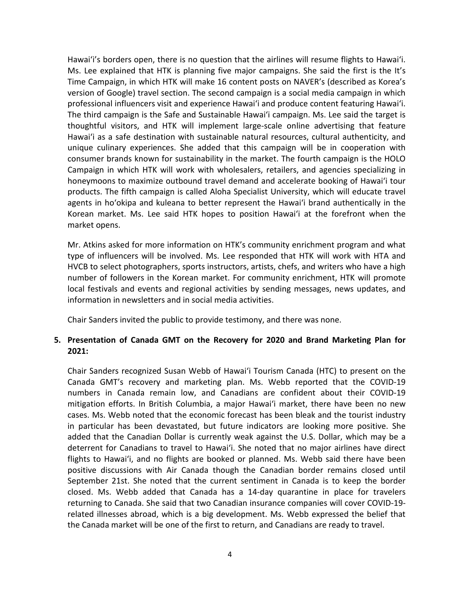Hawai'i's borders open, there is no question that the airlines will resume flights to Hawai'i. consumer brands known for sustainability in the market. The fourth campaign is the HOLO Korean market. Ms. Lee said HTK hopes to position Hawai'i at the forefront when the Ms. Lee explained that HTK is planning five major campaigns. She said the first is the It's Time Campaign, in which HTK will make 16 content posts on NAVER's (described as Korea's version of Google) travel section. The second campaign is a social media campaign in which professional influencers visit and experience Hawai'i and produce content featuring Hawai'i. The third campaign is the Safe and Sustainable Hawai'i campaign. Ms. Lee said the target is thoughtful visitors, and HTK will implement large-scale online advertising that feature Hawai'i as a safe destination with sustainable natural resources, cultural authenticity, and unique culinary experiences. She added that this campaign will be in cooperation with Campaign in which HTK will work with wholesalers, retailers, and agencies specializing in honeymoons to maximize outbound travel demand and accelerate booking of Hawai'i tour products. The fifth campaign is called Aloha Specialist University, which will educate travel agents in ho'okipa and kuleana to better represent the Hawai'i brand authentically in the market opens.

 number of followers in the Korean market. For community enrichment, HTK will promote local festivals and events and regional activities by sending messages, news updates, and Mr. Atkins asked for more information on HTK's community enrichment program and what type of influencers will be involved. Ms. Lee responded that HTK will work with HTA and HVCB to select photographers, sports instructors, artists, chefs, and writers who have a high information in newsletters and in social media activities.

Chair Sanders invited the public to provide testimony, and there was none.

# **5. Presentation of Canada GMT on the Recovery for 2020 and Brand Marketing Plan for 2021:**

 Chair Sanders recognized Susan Webb of Hawai'i Tourism Canada (HTC) to present on the in particular has been devastated, but future indicators are looking more positive. She added that the Canadian Dollar is currently weak against the U.S. Dollar, which may be a flights to Hawai'i, and no flights are booked or planned. Ms. Webb said there have been related illnesses abroad, which is a big development. Ms. Webb expressed the belief that the Canada market will be one of the first to return, and Canadians are ready to travel. Canada GMT's recovery and marketing plan. Ms. Webb reported that the COVID-19 numbers in Canada remain low, and Canadians are confident about their COVID-19 mitigation efforts. In British Columbia, a major Hawai'i market, there have been no new cases. Ms. Webb noted that the economic forecast has been bleak and the tourist industry deterrent for Canadians to travel to Hawai'i. She noted that no major airlines have direct positive discussions with Air Canada though the Canadian border remains closed until September 21st. She noted that the current sentiment in Canada is to keep the border closed. Ms. Webb added that Canada has a 14-day quarantine in place for travelers returning to Canada. She said that two Canadian insurance companies will cover COVID-19-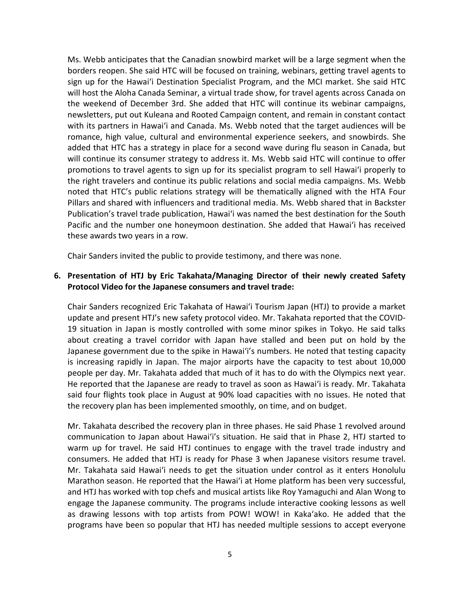sign up for the Hawai'i Destination Specialist Program, and the MCI market. She said HTC newsletters, put out Kuleana and Rooted Campaign content, and remain in constant contact Ms. Webb anticipates that the Canadian snowbird market will be a large segment when the borders reopen. She said HTC will be focused on training, webinars, getting travel agents to will host the Aloha Canada Seminar, a virtual trade show, for travel agents across Canada on the weekend of December 3rd. She added that HTC will continue its webinar campaigns, with its partners in Hawai'i and Canada. Ms. Webb noted that the target audiences will be romance, high value, cultural and environmental experience seekers, and snowbirds. She added that HTC has a strategy in place for a second wave during flu season in Canada, but will continue its consumer strategy to address it. Ms. Webb said HTC will continue to offer promotions to travel agents to sign up for its specialist program to sell Hawai'i properly to the right travelers and continue its public relations and social media campaigns. Ms. Webb noted that HTC's public relations strategy will be thematically aligned with the HTA Four Pillars and shared with influencers and traditional media. Ms. Webb shared that in Backster Publication's travel trade publication, Hawai'i was named the best destination for the South Pacific and the number one honeymoon destination. She added that Hawai'i has received these awards two years in a row.

Chair Sanders invited the public to provide testimony, and there was none.

#### **6. Presentation of HTJ by Eric Takahata/Managing Director of their newly created Safety Protocol Video for the Japanese consumers and travel trade:**

 Chair Sanders recognized Eric Takahata of Hawai'i Tourism Japan (HTJ) to provide a market about creating a travel corridor with Japan have stalled and been put on hold by the He reported that the Japanese are ready to travel as soon as Hawai'i is ready. Mr. Takahata said four flights took place in August at 90% load capacities with no issues. He noted that update and present HTJ's new safety protocol video. Mr. Takahata reported that the COVID-19 situation in Japan is mostly controlled with some minor spikes in Tokyo. He said talks Japanese government due to the spike in Hawai'i's numbers. He noted that testing capacity is increasing rapidly in Japan. The major airports have the capacity to test about 10,000 people per day. Mr. Takahata added that much of it has to do with the Olympics next year. the recovery plan has been implemented smoothly, on time, and on budget.

 Mr. Takahata described the recovery plan in three phases. He said Phase 1 revolved around warm up for travel. He said HTJ continues to engage with the travel trade industry and and HTJ has worked with top chefs and musical artists like Roy Yamaguchi and Alan Wong to communication to Japan about Hawai'i's situation. He said that in Phase 2, HTJ started to consumers. He added that HTJ is ready for Phase 3 when Japanese visitors resume travel. Mr. Takahata said Hawai'i needs to get the situation under control as it enters Honolulu Marathon season. He reported that the Hawai'i at Home platform has been very successful, engage the Japanese community. The programs include interactive cooking lessons as well as drawing lessons with top artists from POW! WOW! in Kaka'ako. He added that the programs have been so popular that HTJ has needed multiple sessions to accept everyone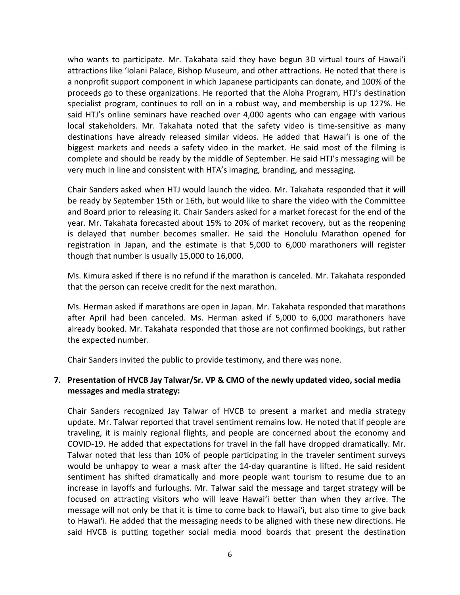local stakeholders. Mr. Takahata noted that the safety video is time-sensitive as many destinations have already released similar videos. He added that Hawai'i is one of the complete and should be ready by the middle of September. He said HTJ's messaging will be very much in line and consistent with HTA's imaging, branding, and messaging. who wants to participate. Mr. Takahata said they have begun 3D virtual tours of Hawai'i attractions like 'Iolani Palace, Bishop Museum, and other attractions. He noted that there is a nonprofit support component in which Japanese participants can donate, and 100% of the proceeds go to these organizations. He reported that the Aloha Program, HTJ's destination specialist program, continues to roll on in a robust way, and membership is up 127%. He said HTJ's online seminars have reached over 4,000 agents who can engage with various biggest markets and needs a safety video in the market. He said most of the filming is

 be ready by September 15th or 16th, but would like to share the video with the Committee and Board prior to releasing it. Chair Sanders asked for a market forecast for the end of the Chair Sanders asked when HTJ would launch the video. Mr. Takahata responded that it will year. Mr. Takahata forecasted about 15% to 20% of market recovery, but as the reopening is delayed that number becomes smaller. He said the Honolulu Marathon opened for registration in Japan, and the estimate is that 5,000 to 6,000 marathoners will register though that number is usually 15,000 to 16,000.

Ms. Kimura asked if there is no refund if the marathon is canceled. Mr. Takahata responded that the person can receive credit for the next marathon.

Ms. Herman asked if marathons are open in Japan. Mr. Takahata responded that marathons after April had been canceled. Ms. Herman asked if 5,000 to 6,000 marathoners have already booked. Mr. Takahata responded that those are not confirmed bookings, but rather the expected number.

Chair Sanders invited the public to provide testimony, and there was none.

#### **7. Presentation of HVCB Jay Talwar/Sr. VP & CMO of the newly updated video, social media messages and media strategy:**

 Chair Sanders recognized Jay Talwar of HVCB to present a market and media strategy message will not only be that it is time to come back to Hawai'i, but also time to give back said HVCB is putting together social media mood boards that present the destination update. Mr. Talwar reported that travel sentiment remains low. He noted that if people are traveling, it is mainly regional flights, and people are concerned about the economy and COVID-19. He added that expectations for travel in the fall have dropped dramatically. Mr. Talwar noted that less than 10% of people participating in the traveler sentiment surveys would be unhappy to wear a mask after the 14-day quarantine is lifted. He said resident sentiment has shifted dramatically and more people want tourism to resume due to an increase in layoffs and furloughs. Mr. Talwar said the message and target strategy will be focused on attracting visitors who will leave Hawai'i better than when they arrive. The to Hawai'i. He added that the messaging needs to be aligned with these new directions. He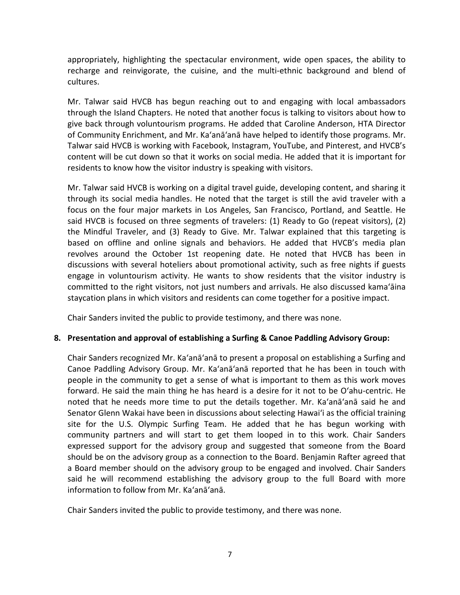appropriately, highlighting the spectacular environment, wide open spaces, the ability to recharge and reinvigorate, the cuisine, and the multi-ethnic background and blend of cultures.

 through the Island Chapters. He noted that another focus is talking to visitors about how to content will be cut down so that it works on social media. He added that it is important for Mr. Talwar said HVCB has begun reaching out to and engaging with local ambassadors give back through voluntourism programs. He added that Caroline Anderson, HTA Director of Community Enrichment, and Mr. Ka'anā'anā have helped to identify those programs. Mr. Talwar said HVCB is working with Facebook, Instagram, YouTube, and Pinterest, and HVCB's residents to know how the visitor industry is speaking with visitors.

 said HVCB is focused on three segments of travelers: (1) Ready to Go (repeat visitors), (2) revolves around the October 1st reopening date. He noted that HVCB has been in engage in voluntourism activity. He wants to show residents that the visitor industry is staycation plans in which visitors and residents can come together for a positive impact. Mr. Talwar said HVCB is working on a digital travel guide, developing content, and sharing it through its social media handles. He noted that the target is still the avid traveler with a focus on the four major markets in Los Angeles, San Francisco, Portland, and Seattle. He the Mindful Traveler, and (3) Ready to Give. Mr. Talwar explained that this targeting is based on offline and online signals and behaviors. He added that HVCB's media plan discussions with several hoteliers about promotional activity, such as free nights if guests committed to the right visitors, not just numbers and arrivals. He also discussed kamaʻāina

Chair Sanders invited the public to provide testimony, and there was none.

## **8. Presentation and approval of establishing a Surfing & Canoe Paddling Advisory Group:**

 Chair Sanders recognized Mr. Ka'anā'anā to present a proposal on establishing a Surfing and people in the community to get a sense of what is important to them as this work moves forward. He said the main thing he has heard is a desire for it not to be Oʻahu-centric. He a Board member should on the advisory group to be engaged and involved. Chair Sanders said he will recommend establishing the advisory group to the full Board with more information to follow from Mr. Ka'anā'anā. Canoe Paddling Advisory Group. Mr. Ka'anā'anā reported that he has been in touch with noted that he needs more time to put the details together. Mr. Ka'anā'anā said he and Senator Glenn Wakai have been in discussions about selecting Hawai'i as the official training site for the U.S. Olympic Surfing Team. He added that he has begun working with community partners and will start to get them looped in to this work. Chair Sanders expressed support for the advisory group and suggested that someone from the Board should be on the advisory group as a connection to the Board. Benjamin Rafter agreed that

Chair Sanders invited the public to provide testimony, and there was none.